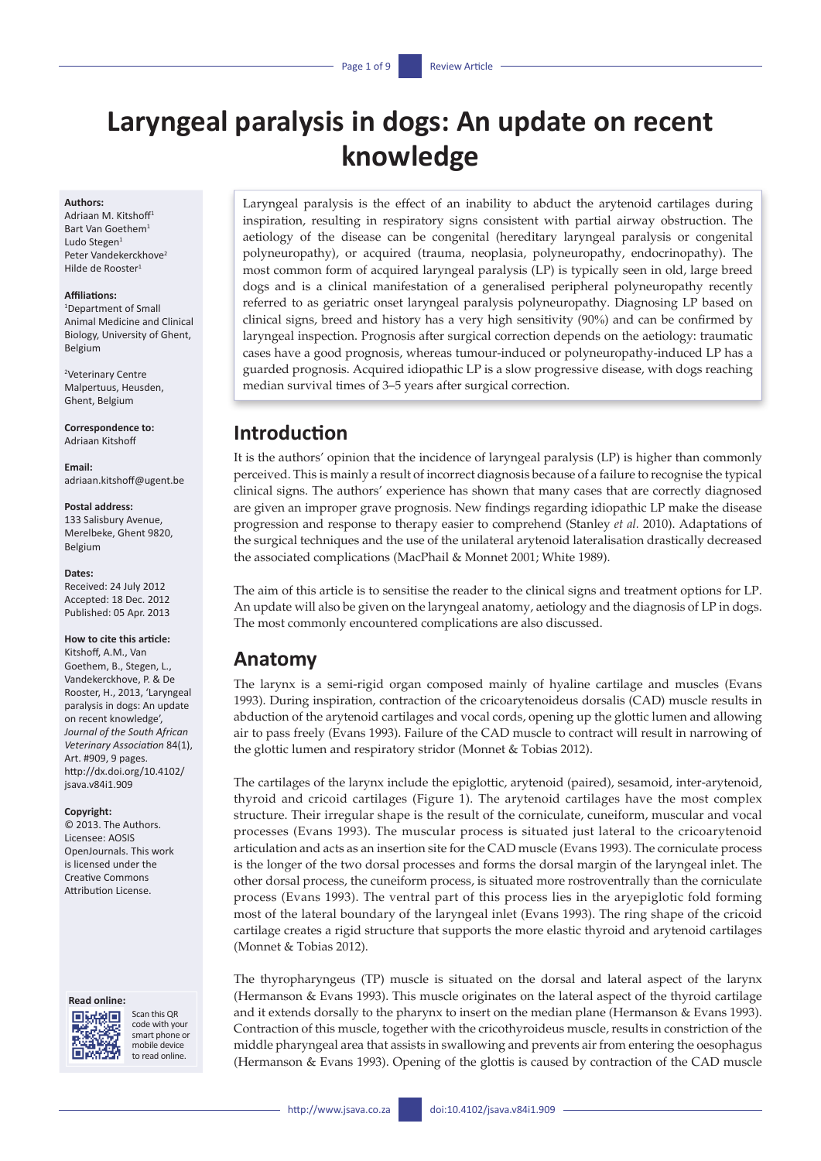# **Laryngeal paralysis in dogs: An update on recent knowledge**

#### **Authors:**

Adriaan M. Kitshoff1 Bart Van Goethem<sup>1</sup> Ludo Stegen<sup>1</sup> Peter Vandekerckhove<sup>2</sup> Hilde de Rooster1

#### **Affiliations:**

1 Department of Small Animal Medicine and Clinical Biology, University of Ghent, Belgium

2 Veterinary Centre Malpertuus, Heusden, Ghent, Belgium

**Correspondence to:** Adriaan Kitshoff

**Email:** [adriaan.kitshoff@ugent.be](mailto:adriaan.kitshoff@ugent.be)

#### **Postal address:**

133 Salisbury Avenue, Merelbeke, Ghent 9820, Belgium

#### **Dates:**

Received: 24 July 2012 Accepted: 18 Dec. 2012 Published: 05 Apr. 2013

#### **How to cite this article:**

Kitshoff, A.M., Van Goethem, B., Stegen, L., Vandekerckhove, P. & De Rooster, H., 2013, 'Laryngeal paralysis in dogs: An update on recent knowledge', *Journal of the South African Veterinary Association* 84(1), Art. #909, 9 pages. [http://dx.doi.org/10.4102/](http://dx.doi.org/10.4102/jsava.v84i1.909) [jsava.v84i1.909](http://dx.doi.org/10.4102/jsava.v84i1.909)

#### **Copyright:**

© 2013. The Authors. Licensee: AOSIS OpenJournals. This work is licensed under the Creative Commons Attribution License.

#### **Read online:**



Scan this QR code with your smart phone or mobile device to read online.

Laryngeal paralysis is the effect of an inability to abduct the arytenoid cartilages during inspiration, resulting in respiratory signs consistent with partial airway obstruction. The aetiology of the disease can be congenital (hereditary laryngeal paralysis or congenital polyneuropathy), or acquired (trauma, neoplasia, polyneuropathy, endocrinopathy). The most common form of acquired laryngeal paralysis (LP) is typically seen in old, large breed dogs and is a clinical manifestation of a generalised peripheral polyneuropathy recently referred to as geriatric onset laryngeal paralysis polyneuropathy. Diagnosing LP based on clinical signs, breed and history has a very high sensitivity (90%) and can be confirmed by laryngeal inspection. Prognosis after surgical correction depends on the aetiology: traumatic cases have a good prognosis, whereas tumour-induced or polyneuropathy-induced LP has a guarded prognosis. Acquired idiopathic LP is a slow progressive disease, with dogs reaching median survival times of 3–5 years after surgical correction.

#### **Introduction**

It is the authors' opinion that the incidence of laryngeal paralysis (LP) is higher than commonly perceived. This is mainly a result of incorrect diagnosis because of a failure to recognise the typical clinical signs. The authors' experience has shown that many cases that are correctly diagnosed are given an improper grave prognosis. New findings regarding idiopathic LP make the disease progression and response to therapy easier to comprehend (Stanley *et al.* 2010). Adaptations of the surgical techniques and the use of the unilateral arytenoid lateralisation drastically decreased the associated complications (MacPhail & Monnet 2001; White 1989).

The aim of this article is to sensitise the reader to the clinical signs and treatment options for LP. An update will also be given on the laryngeal anatomy, aetiology and the diagnosis of LP in dogs. The most commonly encountered complications are also discussed.

### **Anatomy**

The larynx is a semi-rigid organ composed mainly of hyaline cartilage and muscles (Evans 1993). During inspiration, contraction of the cricoarytenoideus dorsalis (CAD) muscle results in abduction of the arytenoid cartilages and vocal cords, opening up the glottic lumen and allowing air to pass freely (Evans 1993). Failure of the CAD muscle to contract will result in narrowing of the glottic lumen and respiratory stridor (Monnet & Tobias 2012).

The cartilages of the larynx include the epiglottic, arytenoid (paired), sesamoid, inter-arytenoid, thyroid and cricoid cartilages (Figure 1). The arytenoid cartilages have the most complex structure. Their irregular shape is the result of the corniculate, cuneiform, muscular and vocal processes (Evans 1993). The muscular process is situated just lateral to the cricoarytenoid articulation and acts as an insertion site for the CAD muscle (Evans 1993). The corniculate process is the longer of the two dorsal processes and forms the dorsal margin of the laryngeal inlet. The other dorsal process, the cuneiform process, is situated more rostroventrally than the corniculate process (Evans 1993). The ventral part of this process lies in the aryepiglotic fold forming most of the lateral boundary of the laryngeal inlet (Evans 1993). The ring shape of the cricoid cartilage creates a rigid structure that supports the more elastic thyroid and arytenoid cartilages (Monnet & Tobias 2012).

The thyropharyngeus (TP) muscle is situated on the dorsal and lateral aspect of the larynx (Hermanson & Evans 1993). This muscle originates on the lateral aspect of the thyroid cartilage and it extends dorsally to the pharynx to insert on the median plane (Hermanson & Evans 1993). Contraction of this muscle, together with the cricothyroideus muscle, results in constriction of the middle pharyngeal area that assists in swallowing and prevents air from entering the oesophagus (Hermanson & Evans 1993). Opening of the glottis is caused by contraction of the CAD muscle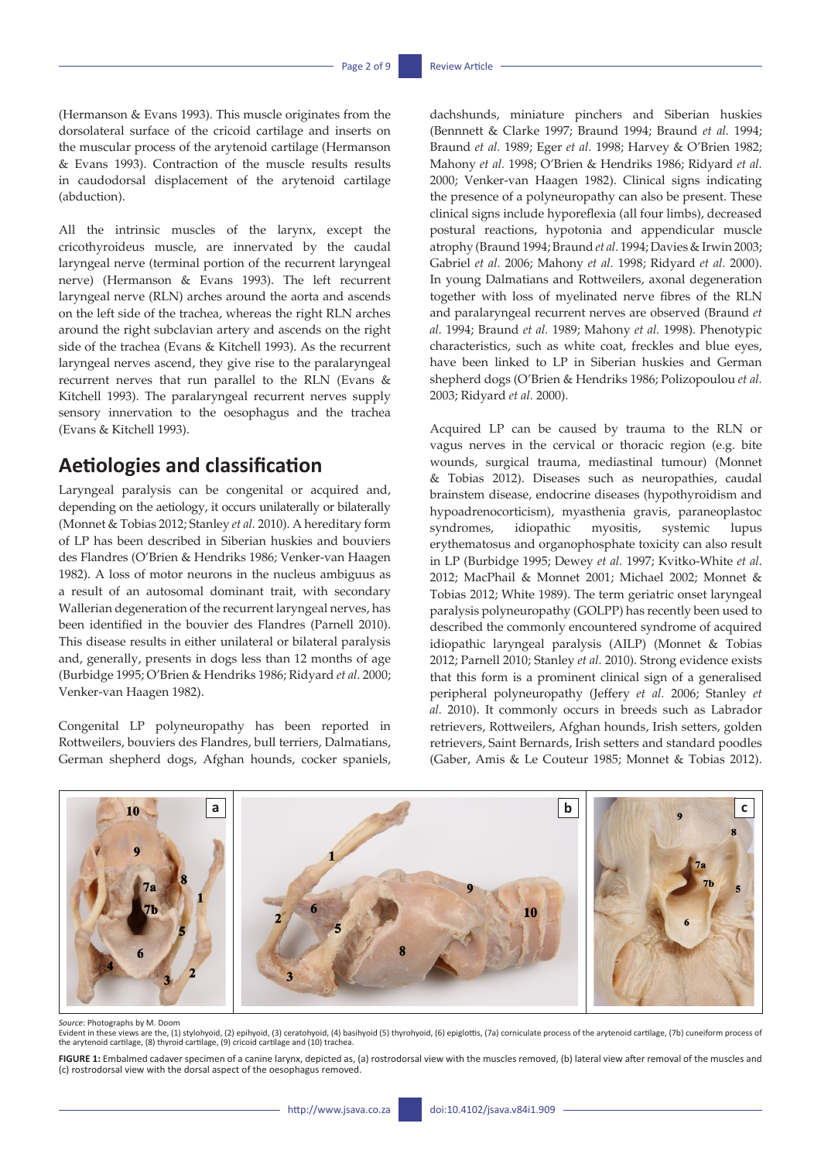(Hermanson & Evans 1993). This muscle originates from the dorsolateral surface of the cricoid cartilage and inserts on the muscular process of the arytenoid cartilage (Hermanson & Evans 1993). Contraction of the muscle results results in caudodorsal displacement of the arytenoid cartilage (abduction).

All the intrinsic muscles of the larynx, except the cricothyroideus muscle, are innervated by the caudal laryngeal nerve (terminal portion of the recurrent laryngeal nerve) (Hermanson & Evans 1993). The left recurrent laryngeal nerve (RLN) arches around the aorta and ascends on the left side of the trachea, whereas the right RLN arches around the right subclavian artery and ascends on the right side of the trachea (Evans & Kitchell 1993). As the recurrent laryngeal nerves ascend, they give rise to the paralaryngeal recurrent nerves that run parallel to the RLN (Evans & Kitchell 1993). The paralaryngeal recurrent nerves supply sensory innervation to the oesophagus and the trachea (Evans & Kitchell 1993).

### **Aetiologies and classification**

Laryngeal paralysis can be congenital or acquired and, depending on the aetiology, it occurs unilaterally or bilaterally (Monnet & Tobias 2012; Stanley *et al.* 2010). A hereditary form of LP has been described in Siberian huskies and bouviers des Flandres (O'Brien & Hendriks 1986; Venker-van Haagen 1982). A loss of motor neurons in the nucleus ambiguus as a result of an autosomal dominant trait, with secondary Wallerian degeneration of the recurrent laryngeal nerves, has been identified in the bouvier des Flandres (Parnell 2010). This disease results in either unilateral or bilateral paralysis and, generally, presents in dogs less than 12 months of age (Burbidge 1995; O'Brien & Hendriks 1986; Ridyard *et al.* 2000; Venker-van Haagen 1982).

Congenital LP polyneuropathy has been reported in Rottweilers, bouviers des Flandres, bull terriers, Dalmatians, German shepherd dogs, Afghan hounds, cocker spaniels, dachshunds, miniature pinchers and Siberian huskies (Bennnett & Clarke 1997; Braund 1994; Braund *et al.* 1994; Braund *et al.* 1989; Eger *et al.* 1998; Harvey & O'Brien 1982; Mahony *et al.* 1998; O'Brien & Hendriks 1986; Ridyard *et al.* 2000; Venker-van Haagen 1982). Clinical signs indicating the presence of a polyneuropathy can also be present. These clinical signs include hyporeflexia (all four limbs), decreased postural reactions, hypotonia and appendicular muscle atrophy (Braund 1994; Braund *et al.* 1994; Davies & Irwin 2003; Gabriel *et al.* 2006; Mahony *et al.* 1998; Ridyard *et al.* 2000). In young Dalmatians and Rottweilers, axonal degeneration together with loss of myelinated nerve fibres of the RLN and paralaryngeal recurrent nerves are observed (Braund *et al.* 1994; Braund *et al.* 1989; Mahony *et al.* 1998). Phenotypic characteristics, such as white coat, freckles and blue eyes, have been linked to LP in Siberian huskies and German shepherd dogs (O'Brien & Hendriks 1986; Polizopoulou *et al.* 2003; Ridyard *et al.* 2000).

Acquired LP can be caused by trauma to the RLN or vagus nerves in the cervical or thoracic region (e.g. bite wounds, surgical trauma, mediastinal tumour) (Monnet & Tobias 2012). Diseases such as neuropathies, caudal brainstem disease, endocrine diseases (hypothyroidism and hypoadrenocorticism), myasthenia gravis, paraneoplastoc syndromes, idiopathic myositis, systemic lupus erythematosus and organophosphate toxicity can also result in LP (Burbidge 1995; Dewey *et al.* 1997; Kvitko-White *et al*. 2012; MacPhail & Monnet 2001; Michael 2002; Monnet & Tobias 2012; White 1989). The term geriatric onset laryngeal paralysis polyneuropathy (GOLPP) has recently been used to described the commonly encountered syndrome of acquired idiopathic laryngeal paralysis (AILP) (Monnet & Tobias 2012; Parnell 2010; Stanley *et al.* 2010). Strong evidence exists that this form is a prominent clinical sign of a generalised peripheral polyneuropathy (Jeffery *et al.* 2006; Stanley *et al.* 2010). It commonly occurs in breeds such as Labrador retrievers, Rottweilers, Afghan hounds, Irish setters, golden retrievers, Saint Bernards, Irish setters and standard poodles (Gaber, Amis & Le Couteur 1985; Monnet & Tobias 2012).



*Source*: Photographs by M. Doom

Evident in these views are the, (1) stylohyoid, (2) epihyoid, (3) ceratohyoid, (4) basihyoid (5) thyrohyoid, (6) epiglottis, (7a) corniculate process of the arytenoid cartilage, (7b) cuneiform process of<br>the arytenoid cart

**FIGURE 1:** Embalmed cadaver specimen of a canine larynx, depicted as, (a) rostrodorsal view with the muscles removed, (b) lateral view after removal of the muscles and (c) rostrodorsal view with the dorsal aspect of the oesophagus removed.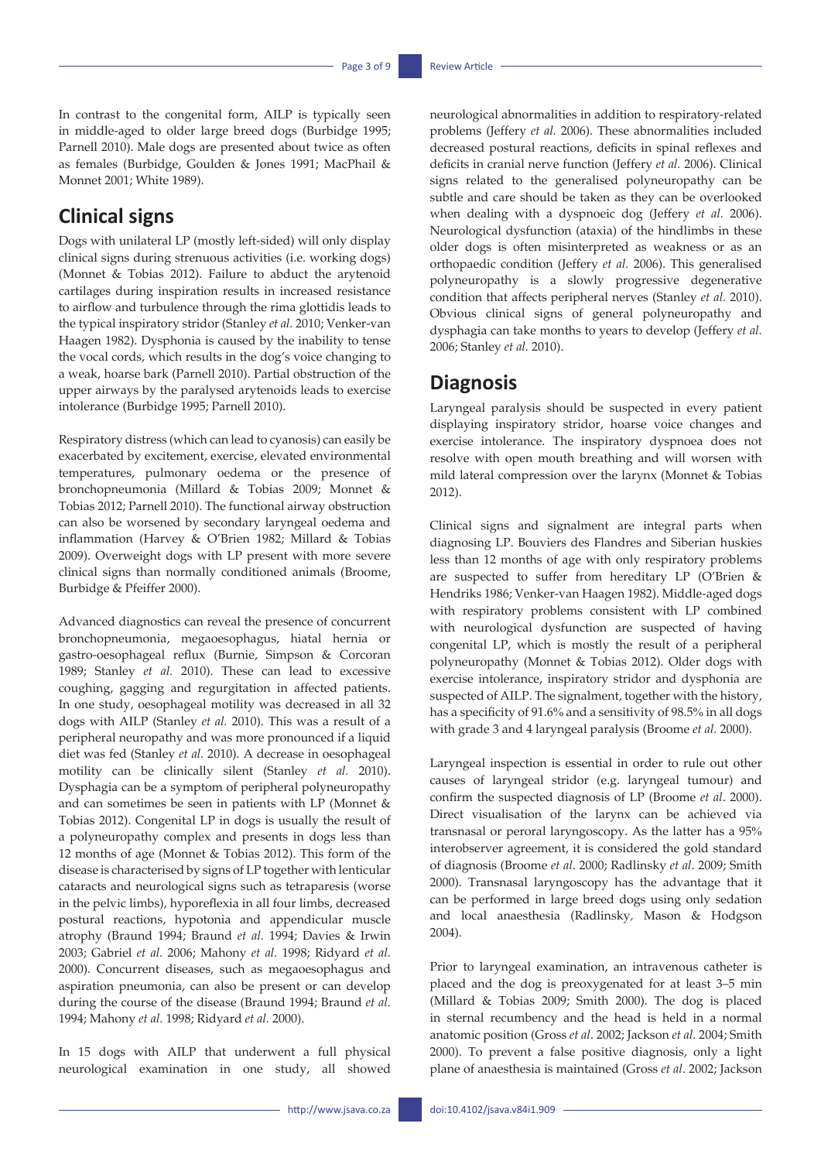In contrast to the congenital form, AILP is typically seen in middle-aged to older large breed dogs (Burbidge 1995; Parnell 2010). Male dogs are presented about twice as often as females (Burbidge, Goulden & Jones 1991; MacPhail & Monnet 2001; White 1989).

# **Clinical signs**

Dogs with unilateral LP (mostly left-sided) will only display clinical signs during strenuous activities (i.e. working dogs) (Monnet & Tobias 2012). Failure to abduct the arytenoid cartilages during inspiration results in increased resistance to airflow and turbulence through the rima glottidis leads to the typical inspiratory stridor (Stanley *et al.* 2010; Venker-van Haagen 1982). Dysphonia is caused by the inability to tense the vocal cords, which results in the dog's voice changing to a weak, hoarse bark (Parnell 2010). Partial obstruction of the upper airways by the paralysed arytenoids leads to exercise intolerance (Burbidge 1995; Parnell 2010).

Respiratory distress (which can lead to cyanosis) can easily be exacerbated by excitement, exercise, elevated environmental temperatures, pulmonary oedema or the presence of bronchopneumonia (Millard & Tobias 2009; Monnet & Tobias 2012; Parnell 2010). The functional airway obstruction can also be worsened by secondary laryngeal oedema and inflammation (Harvey & O'Brien 1982; Millard & Tobias 2009). Overweight dogs with LP present with more severe clinical signs than normally conditioned animals (Broome, Burbidge & Pfeiffer 2000).

Advanced diagnostics can reveal the presence of concurrent bronchopneumonia, megaoesophagus, hiatal hernia or gastro-oesophageal reflux (Burnie, Simpson & Corcoran 1989; Stanley *et al.* 2010). These can lead to excessive coughing, gagging and regurgitation in affected patients. In one study, oesophageal motility was decreased in all 32 dogs with AILP (Stanley *et al.* 2010). This was a result of a peripheral neuropathy and was more pronounced if a liquid diet was fed (Stanley *et al.* 2010). A decrease in oesophageal motility can be clinically silent (Stanley *et al.* 2010). Dysphagia can be a symptom of peripheral polyneuropathy and can sometimes be seen in patients with LP (Monnet & Tobias 2012). Congenital LP in dogs is usually the result of a polyneuropathy complex and presents in dogs less than 12 months of age (Monnet & Tobias 2012). This form of the disease is characterised by signs of LP together with lenticular cataracts and neurological signs such as tetraparesis (worse in the pelvic limbs), hyporeflexia in all four limbs, decreased postural reactions, hypotonia and appendicular muscle atrophy (Braund 1994; Braund *et al.* 1994; Davies & Irwin 2003; Gabriel *et al.* 2006; Mahony *et al.* 1998; Ridyard *et al.* 2000). Concurrent diseases, such as megaoesophagus and aspiration pneumonia, can also be present or can develop during the course of the disease (Braund 1994; Braund *et al.* 1994; Mahony *et al.* 1998; Ridyard *et al.* 2000).

In 15 dogs with AILP that underwent a full physical neurological examination in one study, all showed

neurological abnormalities in addition to respiratory-related problems (Jeffery *et al.* 2006). These abnormalities included decreased postural reactions, deficits in spinal reflexes and deficits in cranial nerve function (Jeffery *et al.* 2006). Clinical signs related to the generalised polyneuropathy can be subtle and care should be taken as they can be overlooked when dealing with a dyspnoeic dog (Jeffery *et al.* 2006). Neurological dysfunction (ataxia) of the hindlimbs in these older dogs is often misinterpreted as weakness or as an orthopaedic condition (Jeffery *et al.* 2006). This generalised polyneuropathy is a slowly progressive degenerative condition that affects peripheral nerves (Stanley *et al.* 2010). Obvious clinical signs of general polyneuropathy and dysphagia can take months to years to develop (Jeffery *et al.* 2006; Stanley *et al.* 2010).

### **Diagnosis**

Laryngeal paralysis should be suspected in every patient displaying inspiratory stridor, hoarse voice changes and exercise intolerance. The inspiratory dyspnoea does not resolve with open mouth breathing and will worsen with mild lateral compression over the larynx (Monnet & Tobias 2012).

Clinical signs and signalment are integral parts when diagnosing LP. Bouviers des Flandres and Siberian huskies less than 12 months of age with only respiratory problems are suspected to suffer from hereditary LP (O'Brien & Hendriks 1986; Venker-van Haagen 1982). Middle-aged dogs with respiratory problems consistent with LP combined with neurological dysfunction are suspected of having congenital LP, which is mostly the result of a peripheral polyneuropathy (Monnet & Tobias 2012). Older dogs with exercise intolerance, inspiratory stridor and dysphonia are suspected of AILP. The signalment, together with the history, has a specificity of 91.6% and a sensitivity of 98.5% in all dogs with grade 3 and 4 laryngeal paralysis (Broome *et al.* 2000).

Laryngeal inspection is essential in order to rule out other causes of laryngeal stridor (e.g. laryngeal tumour) and confirm the suspected diagnosis of LP (Broome *et al*. 2000). Direct visualisation of the larynx can be achieved via transnasal or peroral laryngoscopy. As the latter has a 95% interobserver agreement, it is considered the gold standard of diagnosis (Broome *et al*. 2000; Radlinsky *et al*. 2009; Smith 2000). Transnasal laryngoscopy has the advantage that it can be performed in large breed dogs using only sedation and local anaesthesia (Radlinsky*,* Mason & Hodgson 2004).

Prior to laryngeal examination, an intravenous catheter is placed and the dog is preoxygenated for at least 3–5 min (Millard & Tobias 2009; Smith 2000). The dog is placed in sternal recumbency and the head is held in a normal anatomic position (Gross *et al*. 2002; Jackson *et al*. 2004; Smith 2000). To prevent a false positive diagnosis, only a light plane of anaesthesia is maintained (Gross *et al*. 2002; Jackson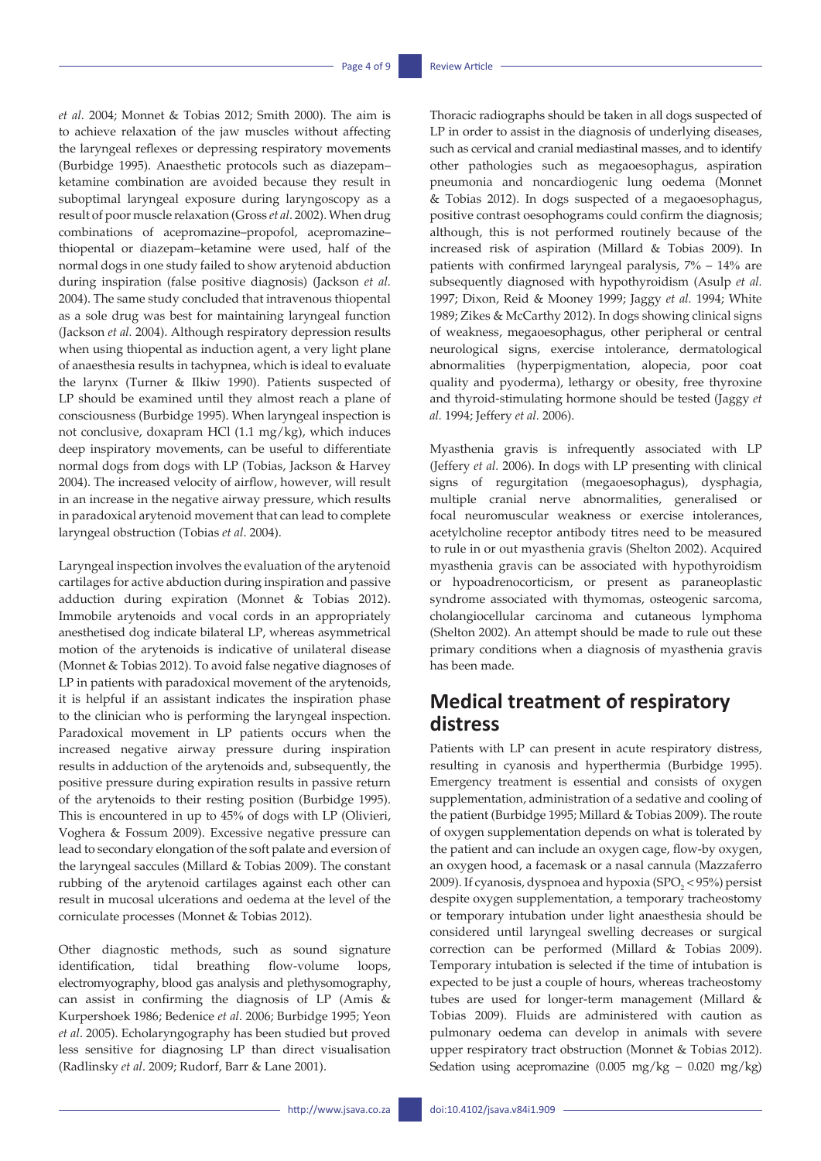*et al*. 2004; Monnet & Tobias 2012; Smith 2000). The aim is to achieve relaxation of the jaw muscles without affecting the laryngeal reflexes or depressing respiratory movements (Burbidge 1995). Anaesthetic protocols such as diazepam– ketamine combination are avoided because they result in suboptimal laryngeal exposure during laryngoscopy as a result of poor muscle relaxation (Gross *et al*. 2002). When drug combinations of acepromazine–propofol, acepromazine– thiopental or diazepam–ketamine were used, half of the normal dogs in one study failed to show arytenoid abduction during inspiration (false positive diagnosis) (Jackson *et al.* 2004). The same study concluded that intravenous thiopental as a sole drug was best for maintaining laryngeal function (Jackson *et al.* 2004). Although respiratory depression results when using thiopental as induction agent, a very light plane of anaesthesia results in tachypnea, which is ideal to evaluate the larynx (Turner & Ilkiw 1990). Patients suspected of LP should be examined until they almost reach a plane of consciousness (Burbidge 1995). When laryngeal inspection is not conclusive, doxapram HCl (1.1 mg/kg), which induces deep inspiratory movements, can be useful to differentiate normal dogs from dogs with LP (Tobias, Jackson & Harvey 2004). The increased velocity of airflow, however, will result in an increase in the negative airway pressure, which results in paradoxical arytenoid movement that can lead to complete laryngeal obstruction (Tobias *et al*. 2004).

Laryngeal inspection involves the evaluation of the arytenoid cartilages for active abduction during inspiration and passive adduction during expiration (Monnet & Tobias 2012). Immobile arytenoids and vocal cords in an appropriately anesthetised dog indicate bilateral LP, whereas asymmetrical motion of the arytenoids is indicative of unilateral disease (Monnet & Tobias 2012). To avoid false negative diagnoses of LP in patients with paradoxical movement of the arytenoids, it is helpful if an assistant indicates the inspiration phase to the clinician who is performing the laryngeal inspection. Paradoxical movement in LP patients occurs when the increased negative airway pressure during inspiration results in adduction of the arytenoids and, subsequently, the positive pressure during expiration results in passive return of the arytenoids to their resting position (Burbidge 1995). This is encountered in up to 45% of dogs with LP (Olivieri, Voghera & Fossum 2009). Excessive negative pressure can lead to secondary elongation of the soft palate and eversion of the laryngeal saccules (Millard & Tobias 2009). The constant rubbing of the arytenoid cartilages against each other can result in mucosal ulcerations and oedema at the level of the corniculate processes (Monnet & Tobias 2012).

Other diagnostic methods, such as sound signature identification, tidal breathing flow-volume loops, electromyography, blood gas analysis and plethysomography, can assist in confirming the diagnosis of LP (Amis & Kurpershoek 1986; Bedenice *et al*. 2006; Burbidge 1995; Yeon *et al*. 2005). Echolaryngography has been studied but proved less sensitive for diagnosing LP than direct visualisation (Radlinsky *et al*. 2009; Rudorf, Barr & Lane 2001).

Thoracic radiographs should be taken in all dogs suspected of LP in order to assist in the diagnosis of underlying diseases, such as cervical and cranial mediastinal masses, and to identify other pathologies such as megaoesophagus, aspiration pneumonia and noncardiogenic lung oedema (Monnet & Tobias 2012). In dogs suspected of a megaoesophagus, positive contrast oesophograms could confirm the diagnosis; although, this is not performed routinely because of the increased risk of aspiration (Millard & Tobias 2009). In patients with confirmed laryngeal paralysis, 7% – 14% are subsequently diagnosed with hypothyroidism (Asulp *et al.* 1997; Dixon, Reid & Mooney 1999; Jaggy *et al.* 1994; White 1989; Zikes & McCarthy 2012). In dogs showing clinical signs of weakness, megaoesophagus, other peripheral or central neurological signs, exercise intolerance, dermatological abnormalities (hyperpigmentation, alopecia, poor coat quality and pyoderma), lethargy or obesity, free thyroxine and thyroid-stimulating hormone should be tested (Jaggy *et al.* 1994; Jeffery *et al.* 2006).

Myasthenia gravis is infrequently associated with LP (Jeffery *et al.* 2006). In dogs with LP presenting with clinical signs of regurgitation (megaoesophagus), dysphagia, multiple cranial nerve abnormalities, generalised or focal neuromuscular weakness or exercise intolerances, acetylcholine receptor antibody titres need to be measured to rule in or out myasthenia gravis (Shelton 2002). Acquired myasthenia gravis can be associated with hypothyroidism or hypoadrenocorticism, or present as paraneoplastic syndrome associated with thymomas, osteogenic sarcoma, cholangiocellular carcinoma and cutaneous lymphoma (Shelton 2002). An attempt should be made to rule out these primary conditions when a diagnosis of myasthenia gravis has been made.

## **Medical treatment of respiratory distress**

Patients with LP can present in acute respiratory distress, resulting in cyanosis and hyperthermia (Burbidge 1995). Emergency treatment is essential and consists of oxygen supplementation, administration of a sedative and cooling of the patient (Burbidge 1995; Millard & Tobias 2009). The route of oxygen supplementation depends on what is tolerated by the patient and can include an oxygen cage, flow-by oxygen, an oxygen hood, a facemask or a nasal cannula (Mazzaferro 2009). If cyanosis, dyspnoea and hypoxia (SPO $_2$  < 95%) persist despite oxygen supplementation, a temporary tracheostomy or temporary intubation under light anaesthesia should be considered until laryngeal swelling decreases or surgical correction can be performed (Millard & Tobias 2009). Temporary intubation is selected if the time of intubation is expected to be just a couple of hours, whereas tracheostomy tubes are used for longer-term management (Millard & Tobias 2009). Fluids are administered with caution as pulmonary oedema can develop in animals with severe upper respiratory tract obstruction (Monnet & Tobias 2012). Sedation using acepromazine (0.005 mg/kg – 0.020 mg/kg)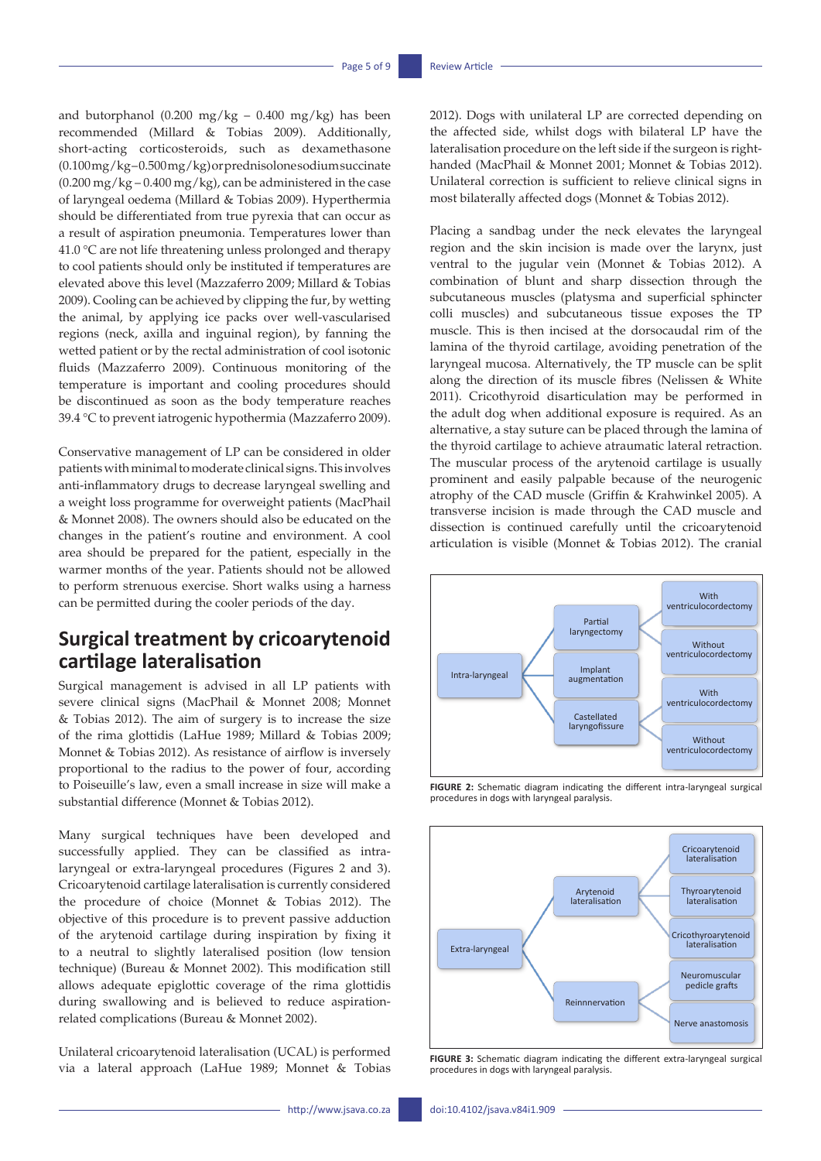and butorphanol (0.200 mg/kg – 0.400 mg/kg) has been recommended (Millard & Tobias 2009). Additionally, short-acting corticosteroids, such as dexamethasone  $(0.100$  mg/kg $-0.500$  mg/kg $)$  or prednisolones odium succinate  $(0.200 \text{ mg/kg} - 0.400 \text{ mg/kg})$ , can be administered in the case of laryngeal oedema (Millard & Tobias 2009). Hyperthermia should be differentiated from true pyrexia that can occur as a result of aspiration pneumonia. Temperatures lower than 41.0 °C are not life threatening unless prolonged and therapy to cool patients should only be instituted if temperatures are elevated above this level (Mazzaferro 2009; Millard & Tobias 2009). Cooling can be achieved by clipping the fur, by wetting the animal, by applying ice packs over well-vascularised regions (neck, axilla and inguinal region), by fanning the wetted patient or by the rectal administration of cool isotonic fluids (Mazzaferro 2009). Continuous monitoring of the temperature is important and cooling procedures should be discontinued as soon as the body temperature reaches 39.4 °C to prevent iatrogenic hypothermia (Mazzaferro 2009).

Conservative management of LP can be considered in older patients with minimal to moderate clinical signs. This involves anti-inflammatory drugs to decrease laryngeal swelling and a weight loss programme for overweight patients (MacPhail & Monnet 2008). The owners should also be educated on the changes in the patient's routine and environment. A cool area should be prepared for the patient, especially in the warmer months of the year. Patients should not be allowed to perform strenuous exercise. Short walks using a harness can be permitted during the cooler periods of the day.

## **Surgical treatment by cricoarytenoid cartilage lateralisation**

Surgical management is advised in all LP patients with severe clinical signs (MacPhail & Monnet 2008; Monnet & Tobias 2012). The aim of surgery is to increase the size of the rima glottidis (LaHue 1989; Millard & Tobias 2009; Monnet & Tobias 2012). As resistance of airflow is inversely proportional to the radius to the power of four, according to Poiseuille's law, even a small increase in size will make a substantial difference (Monnet & Tobias 2012).

Many surgical techniques have been developed and successfully applied. They can be classified as intralaryngeal or extra-laryngeal procedures (Figures 2 and 3). Cricoarytenoid cartilage lateralisation is currently considered the procedure of choice (Monnet & Tobias 2012). The objective of this procedure is to prevent passive adduction of the arytenoid cartilage during inspiration by fixing it to a neutral to slightly lateralised position (low tension technique) (Bureau & Monnet 2002). This modification still allows adequate epiglottic coverage of the rima glottidis during swallowing and is believed to reduce aspirationrelated complications (Bureau & Monnet 2002).

Unilateral cricoarytenoid lateralisation (UCAL) is performed via a lateral approach (LaHue 1989; Monnet & Tobias

2012). Dogs with unilateral LP are corrected depending on the affected side, whilst dogs with bilateral LP have the lateralisation procedure on the left side if the surgeon is righthanded (MacPhail & Monnet 2001; Monnet & Tobias 2012). Unilateral correction is sufficient to relieve clinical signs in most bilaterally affected dogs (Monnet & Tobias 2012).

Placing a sandbag under the neck elevates the laryngeal region and the skin incision is made over the larynx, just ventral to the jugular vein (Monnet & Tobias 2012). A combination of blunt and sharp dissection through the subcutaneous muscles (platysma and superficial sphincter colli muscles) and subcutaneous tissue exposes the TP muscle. This is then incised at the dorsocaudal rim of the lamina of the thyroid cartilage, avoiding penetration of the laryngeal mucosa. Alternatively, the TP muscle can be split along the direction of its muscle fibres (Nelissen & White 2011). Cricothyroid disarticulation may be performed in the adult dog when additional exposure is required. As an alternative, a stay suture can be placed through the lamina of the thyroid cartilage to achieve atraumatic lateral retraction. The muscular process of the arytenoid cartilage is usually prominent and easily palpable because of the neurogenic atrophy of the CAD muscle (Griffin & Krahwinkel 2005). A transverse incision is made through the CAD muscle and dissection is continued carefully until the cricoarytenoid articulation is visible (Monnet & Tobias 2012). The cranial



**FIGURE 2:** Schematic diagram indicating the different intra-laryngeal surgical procedures in dogs with laryngeal paralysis.



**FIGURE 3:** Schematic diagram indicating the different extra-laryngeal surgical procedures in dogs with laryngeal paralysis.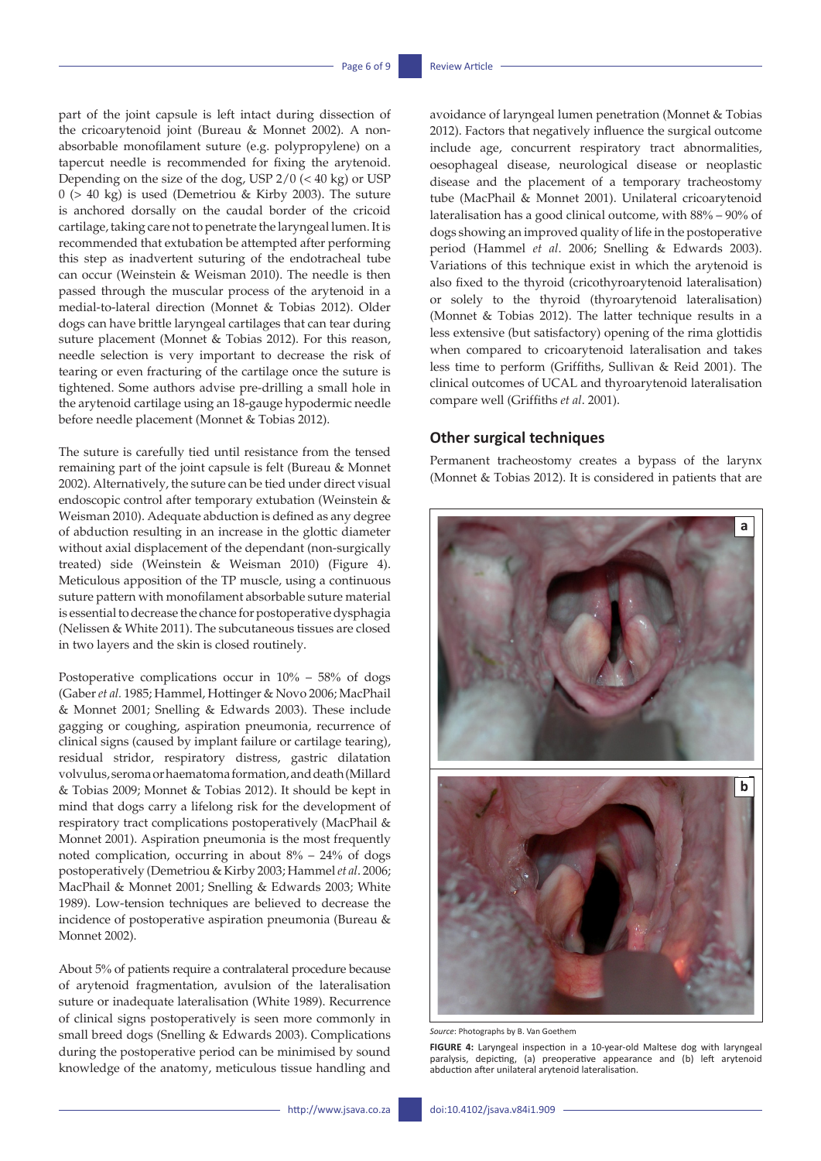part of the joint capsule is left intact during dissection of the cricoarytenoid joint (Bureau & Monnet 2002). A nonabsorbable monofilament suture (e.g. polypropylene) on a tapercut needle is recommended for fixing the arytenoid. Depending on the size of the dog, USP 2/0 (< 40 kg) or USP 0 (> 40 kg) is used (Demetriou & Kirby 2003). The suture is anchored dorsally on the caudal border of the cricoid cartilage, taking care not to penetrate the laryngeal lumen. It is recommended that extubation be attempted after performing this step as inadvertent suturing of the endotracheal tube can occur (Weinstein & Weisman 2010). The needle is then passed through the muscular process of the arytenoid in a medial-to-lateral direction (Monnet & Tobias 2012). Older dogs can have brittle laryngeal cartilages that can tear during suture placement (Monnet & Tobias 2012). For this reason, needle selection is very important to decrease the risk of tearing or even fracturing of the cartilage once the suture is tightened. Some authors advise pre-drilling a small hole in the arytenoid cartilage using an 18-gauge hypodermic needle before needle placement (Monnet & Tobias 2012).

The suture is carefully tied until resistance from the tensed remaining part of the joint capsule is felt (Bureau & Monnet 2002). Alternatively, the suture can be tied under direct visual endoscopic control after temporary extubation (Weinstein & Weisman 2010). Adequate abduction is defined as any degree of abduction resulting in an increase in the glottic diameter without axial displacement of the dependant (non-surgically treated) side (Weinstein & Weisman 2010) (Figure 4). Meticulous apposition of the TP muscle, using a continuous suture pattern with monofilament absorbable suture material is essential to decrease the chance for postoperative dysphagia (Nelissen & White 2011). The subcutaneous tissues are closed in two layers and the skin is closed routinely.

Postoperative complications occur in 10% – 58% of dogs (Gaber *et al.* 1985; Hammel, Hottinger & Novo 2006; MacPhail & Monnet 2001; Snelling & Edwards 2003). These include gagging or coughing, aspiration pneumonia, recurrence of clinical signs (caused by implant failure or cartilage tearing), residual stridor, respiratory distress, gastric dilatation volvulus, seroma or haematoma formation, and death (Millard & Tobias 2009; Monnet & Tobias 2012). It should be kept in mind that dogs carry a lifelong risk for the development of respiratory tract complications postoperatively (MacPhail & Monnet 2001). Aspiration pneumonia is the most frequently noted complication, occurring in about 8% – 24% of dogs postoperatively (Demetriou & Kirby 2003; Hammel *et al*. 2006; MacPhail & Monnet 2001; Snelling & Edwards 2003; White 1989). Low-tension techniques are believed to decrease the incidence of postoperative aspiration pneumonia (Bureau & Monnet 2002).

About 5% of patients require a contralateral procedure because of arytenoid fragmentation, avulsion of the lateralisation suture or inadequate lateralisation (White 1989). Recurrence of clinical signs postoperatively is seen more commonly in small breed dogs (Snelling & Edwards 2003). Complications during the postoperative period can be minimised by sound knowledge of the anatomy, meticulous tissue handling and avoidance of laryngeal lumen penetration (Monnet & Tobias 2012). Factors that negatively influence the surgical outcome include age, concurrent respiratory tract abnormalities, oesophageal disease, neurological disease or neoplastic disease and the placement of a temporary tracheostomy tube (MacPhail & Monnet 2001). Unilateral cricoarytenoid lateralisation has a good clinical outcome, with 88% – 90% of dogs showing an improved quality of life in the postoperative period (Hammel *et al*. 2006; Snelling & Edwards 2003). Variations of this technique exist in which the arytenoid is also fixed to the thyroid (cricothyroarytenoid lateralisation) or solely to the thyroid (thyroarytenoid lateralisation) (Monnet & Tobias 2012). The latter technique results in a less extensive (but satisfactory) opening of the rima glottidis when compared to cricoarytenoid lateralisation and takes less time to perform (Griffiths, Sullivan & Reid 2001). The clinical outcomes of UCAL and thyroarytenoid lateralisation compare well (Griffiths *et al*. 2001).

#### **Other surgical techniques**

Permanent tracheostomy creates a bypass of the larynx (Monnet & Tobias 2012). It is considered in patients that are



*Source*: Photographs by B. Van Goethem

**FIGURE 4:** Laryngeal inspection in a 10-year-old Maltese dog with laryngeal paralysis, depicting, (a) preoperative appearance and (b) left arytenoid abduction after unilateral arytenoid lateralisation.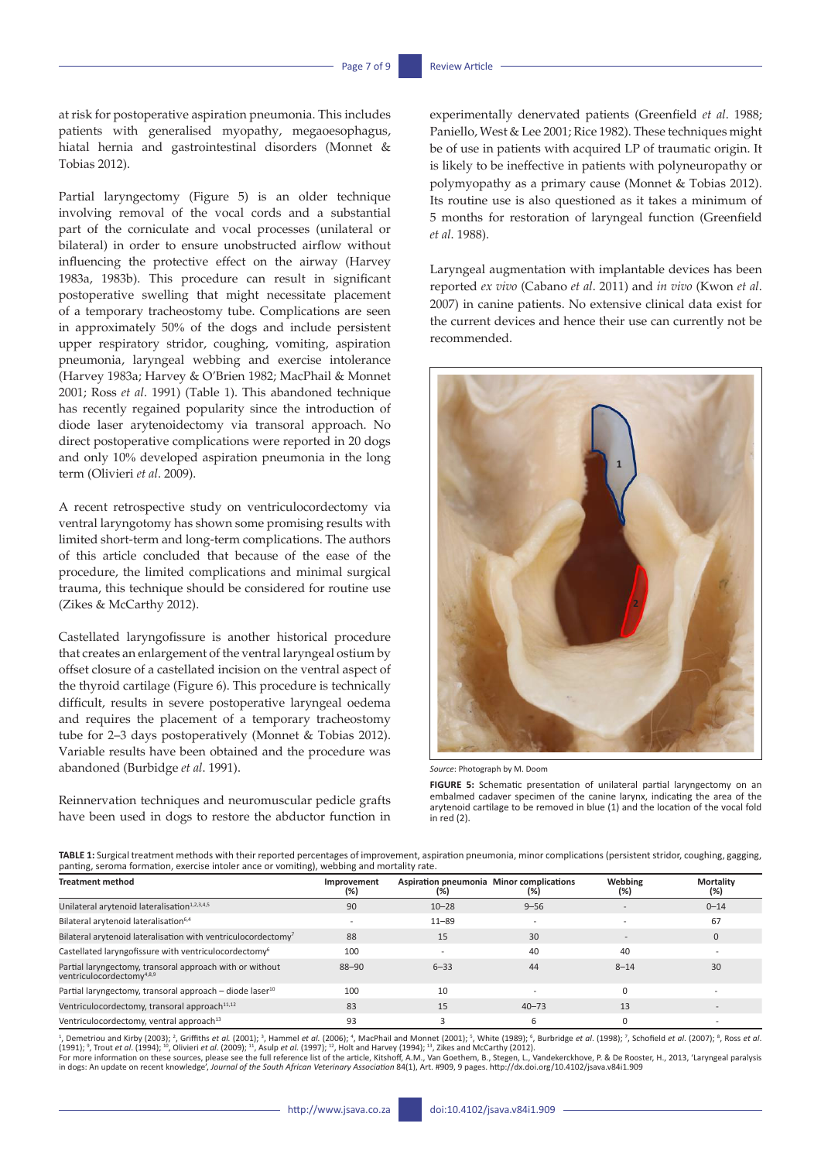at risk for postoperative aspiration pneumonia. This includes patients with generalised myopathy, megaoesophagus, hiatal hernia and gastrointestinal disorders (Monnet & Tobias 2012).

Partial laryngectomy (Figure 5) is an older technique involving removal of the vocal cords and a substantial part of the corniculate and vocal processes (unilateral or bilateral) in order to ensure unobstructed airflow without influencing the protective effect on the airway (Harvey 1983a, 1983b). This procedure can result in significant postoperative swelling that might necessitate placement of a temporary tracheostomy tube. Complications are seen in approximately 50% of the dogs and include persistent upper respiratory stridor, coughing, vomiting, aspiration pneumonia, laryngeal webbing and exercise intolerance (Harvey 1983a; Harvey & O'Brien 1982; MacPhail & Monnet 2001; Ross *et al*. 1991) (Table 1). This abandoned technique has recently regained popularity since the introduction of diode laser arytenoidectomy via transoral approach. No direct postoperative complications were reported in 20 dogs and only 10% developed aspiration pneumonia in the long term (Olivieri *et al*. 2009).

A recent retrospective study on ventriculocordectomy via ventral laryngotomy has shown some promising results with limited short-term and long-term complications. The authors of this article concluded that because of the ease of the procedure, the limited complications and minimal surgical trauma, this technique should be considered for routine use (Zikes & McCarthy 2012).

Castellated laryngofissure is another historical procedure that creates an enlargement of the ventral laryngeal ostium by offset closure of a castellated incision on the ventral aspect of the thyroid cartilage (Figure 6). This procedure is technically difficult, results in severe postoperative laryngeal oedema and requires the placement of a temporary tracheostomy tube for 2–3 days postoperatively (Monnet & Tobias 2012). Variable results have been obtained and the procedure was abandoned (Burbidge *et al*. 1991).

Reinnervation techniques and neuromuscular pedicle grafts have been used in dogs to restore the abductor function in experimentally denervated patients (Greenfield *et al*. 1988; Paniello, West & Lee 2001; Rice 1982). These techniques might be of use in patients with acquired LP of traumatic origin. It is likely to be ineffective in patients with polyneuropathy or polymyopathy as a primary cause (Monnet & Tobias 2012). Its routine use is also questioned as it takes a minimum of 5 months for restoration of laryngeal function (Greenfield *et al*. 1988).

Laryngeal augmentation with implantable devices has been reported *ex vivo* (Cabano *et al*. 2011) and *in vivo* (Kwon *et al*. 2007) in canine patients. No extensive clinical data exist for the current devices and hence their use can currently not be recommended.



*Source*: Photograph by M. Doom

**FIGURE 5:** Schematic presentation of unilateral partial laryngectomy on an embalmed cadaver specimen of the canine larynx, indicating the area of the arytenoid cartilage to be removed in blue (1) and the location of the vocal fold in red (2).

**TABLE 1:** Surgical treatment methods with their reported percentages of improvement, aspiration pneumonia, minor complications (persistent stridor, coughing, gagging, panting, seroma formation, exercise intoler ance or vomiting)[, webbing and mortality rate.](http://dx.doi.org/10.4102/jsava.v84i1.909)

| <b>Treatment method</b>                                                                           | Improvement<br>(%) | Aspiration pneumonia Minor complications<br>(% ) | $(\%)$    | Webbing<br>(%) | <b>Mortality</b><br>$(\%)$ |
|---------------------------------------------------------------------------------------------------|--------------------|--------------------------------------------------|-----------|----------------|----------------------------|
| Unilateral arytenoid lateralisation <sup>1,2,3,4,5</sup>                                          | 90                 | $10 - 28$                                        | $9 - 56$  |                | $0 - 14$                   |
| Bilateral arytenoid lateralisation <sup>6,4</sup>                                                 |                    | $11 - 89$                                        |           |                | 67                         |
| Bilateral arytenoid lateralisation with ventriculocordectomy <sup>7</sup>                         | 88                 | 15                                               | 30        |                | $\mathbf{0}$               |
| Castellated laryngofissure with ventriculocordectomy <sup>6</sup>                                 | 100                |                                                  | 40        | 40             |                            |
| Partial laryngectomy, transoral approach with or without<br>ventriculocordectomy <sup>4,8,9</sup> | $88 - 90$          | $6 - 33$                                         | 44        | $8 - 14$       | 30                         |
| Partial laryngectomy, transoral approach - diode laser <sup>10</sup>                              | 100                | 10                                               |           | U              |                            |
| Ventriculocordectomy, transoral approach <sup>11,12</sup>                                         | 83                 | 15                                               | $40 - 73$ | 13             |                            |
| Ventriculocordectomy, ventral approach <sup>13</sup>                                              | 93                 |                                                  | 6         | 0              |                            |

ት, Demetriou and Kirby (2003); ?, Griffiths *et al*. (2001); <sup>3</sup>, Hammel *et al*. (2006); <sup>4</sup>, MacPhail and Monnet (2001); <sup>5</sup>, White (1989); <sup>6</sup>, Burbridge *et al*. (1998); 7, Schofield *et al*. (2007); <sup>8</sup>, Ross *et al.* 

in dogs: An update on recent knowledge', *Journal of the South African Veterinary Association* 84(1), Art. #909, 9 pages. http://dx.doi.org/10.4102/jsava.v84i1.909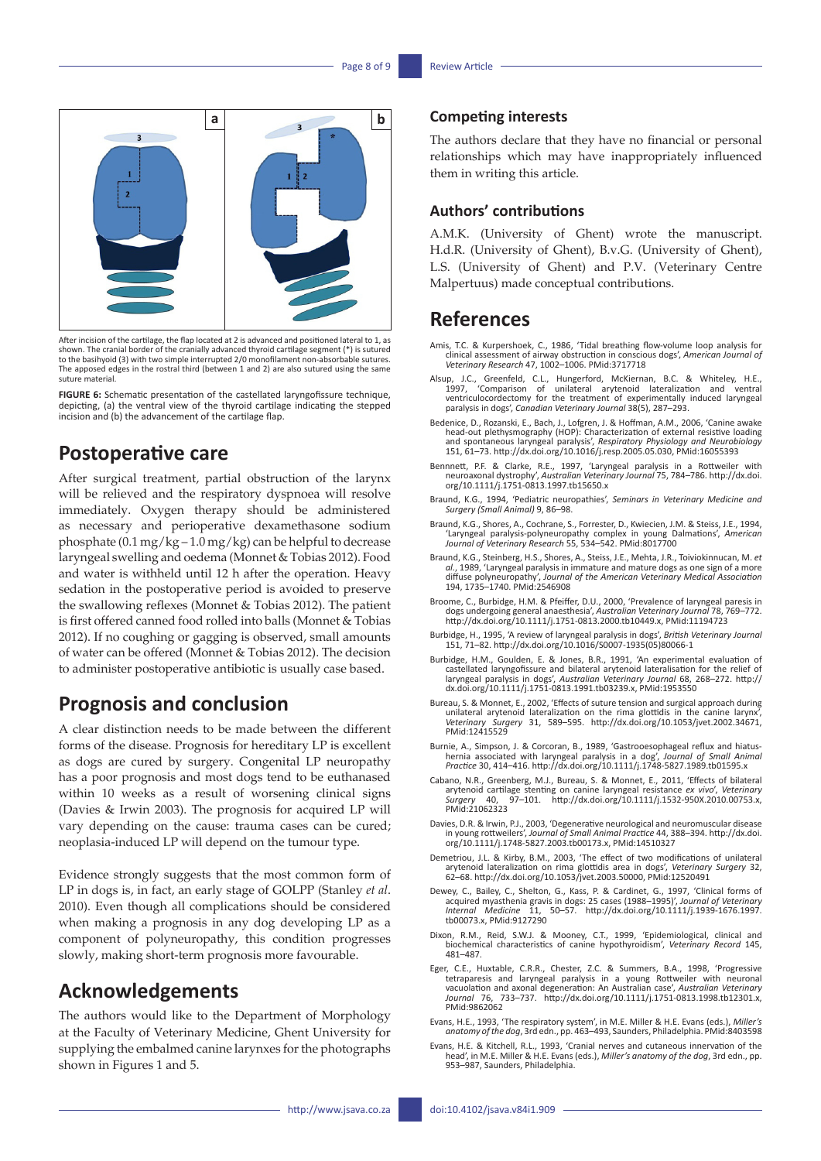

After incision of the cartilage, the flap located at 2 is advanced and positioned lateral to 1, as shown. The cranial border of the cranially advanced thyroid cartilage segment (\*) is sutured to the basihyoid (3) with two simple interrupted 2/0 monofilament non-absorbable sutures. The apposed edges in the rostral third (between 1 and 2) are also sutured using the same suture material

**FIGURE 6:** Schematic presentation of the castellated laryngofissure technique, depicting, (a) the ventral view of the thyroid cartilage indicating the stepped incision and (b) the advancement of the cartilage flap.

### **Postoperative care**

After surgical treatment, partial obstruction of the larynx will be relieved and the respiratory dyspnoea will resolve immediately. Oxygen therapy should be administered as necessary and perioperative dexamethasone sodium phosphate (0.1 mg/kg – 1.0 mg/kg) can be helpful to decrease laryngeal swelling and oedema (Monnet & Tobias 2012). Food and water is withheld until 12 h after the operation. Heavy sedation in the postoperative period is avoided to preserve the swallowing reflexes (Monnet & Tobias 2012). The patient is first offered canned food rolled into balls (Monnet & Tobias 2012). If no coughing or gagging is observed, small amounts of water can be offered (Monnet & Tobias 2012). The decision to administer postoperative antibiotic is usually case based.

### **Prognosis and conclusion**

A clear distinction needs to be made between the different forms of the disease. Prognosis for hereditary LP is excellent as dogs are cured by surgery. Congenital LP neuropathy has a poor prognosis and most dogs tend to be euthanased within 10 weeks as a result of worsening clinical signs (Davies & Irwin 2003). The prognosis for acquired LP will vary depending on the cause: trauma cases can be cured; neoplasia-induced LP will depend on the tumour type.

Evidence strongly suggests that the most common form of LP in dogs is, in fact, an early stage of GOLPP (Stanley *et al*. 2010). Even though all complications should be considered when making a prognosis in any dog developing LP as a component of polyneuropathy, this condition progresses slowly, making short-term prognosis more favourable.

# **Acknowledgements**

The authors would like to the Department of Morphology at the Faculty of Veterinary Medicine, Ghent University for supplying the embalmed canine larynxes for the photographs shown in Figures 1 and 5.

#### **Competing interests**

The authors declare that they have no financial or personal relationships which may have inappropriately influenced them in writing this article.

#### **Authors' contributions**

A.M.K. (University of Ghent) wrote the manuscript. H.d.R. (University of Ghent), B.v.G. (University of Ghent), L.S. (University of Ghent) and P.V. (Veterinary Centre Malpertuus) made conceptual contributions.

### **References**

- Amis, T.C. & Kurpershoek, C., 1986, 'Tidal breathing flow-volume loop analysis for clinical assessment of airway obstruction in conscious dogs', *American Journal of Veterinary Research* 47, 1002–1006. PMid:3717718
- Alsup, J.C., Greenfeld, C.L., Hungerford, McKiernan, B.C. & Whiteley, H.E., 1997, 'Comparison of unilateral arytenoid lateralization and ventral ventriculocordectomy for the treatment of experimentally induced laryngeal paralysis in dogs', *Canadian Veterinary Journal* 38(5), 287–293.
- Bedenice, D., Rozanski, E., Bach, J., Lofgren, J. & Hoffman, A.M., 2006, 'Canine awake<br>head-out plethysmography (HOP): Characterization of external resistive loading<br>and spontaneous laryngeal paralysis', Respiratory Physio 151, 61–73.<http://dx.doi.org/10.1016/j.resp.2005.05.030>, PMid:16055393
- Bennnett, P.F. & Clarke, R.E., 1997, 'Laryngeal paralysis in a Rottweiler with neuroaxonal dystrophy', *Australian Veterinary Journal* 75, 784–786. [http://dx.doi.](http://dx.doi.org/10.1111/j.1751-0813.1997.tb15650.x) [org/10.1111/j.1751-0813.1997.tb15650.x](http://dx.doi.org/10.1111/j.1751-0813.1997.tb15650.x)
- Braund, K.G., 1994, 'Pediatric neuropathies', *Seminars in Veterinary Medicine and Surgery (Small Animal)* 9, 86–98.
- Braund, K.G., Shores, A., Cochrane, S., Forrester, D., Kwiecien, J.M. & Steiss, J.E., 1994, 'Laryngeal paralysis-polyneuropathy complex in young Dalmations', *American Journal of Veterinary Research* 55, 534–542. PMid:8017700
- Braund, K.G., Steinberg, H.S., Shores, A., Steiss, J.E., Mehta, J.R., Toiviokinnucan, M. et<br>al., 1989, 'Laryngeal paralysis in immature and mature dogs as one sign of a more<br>diffuse polyneuropathy', Journal of the American 194, 1735–1740. PMid:2546908
- Broome, C., Burbidge, H.M. & Pfeiffer, D.U., 2000, 'Prevalence of laryngeal paresis in<br>dogs undergoing general anaesthesia', Australian Veterinary Journal 78, 769–772.<br>http://dx.doi.org/10.11111/j.1751-0813.2000.tb10449.x,
- Burbidge, H., 1995, 'A review of laryngeal paralysis in dogs', *British Veterinary Journal* 151, 71–82. [http://dx.doi.org/10.1016/S0007-1935\(05\)80066-1](http://dx.doi.org/10.1016/S0007-1935(05)80066-1)
- Burbidge, H.M., Goulden, E. & Jones, B.R., 1991, 'An experimental evaluation of castellated laryngofissure and bilateral arytenoid lateralisation for the relief of laryngeal paralysis in dogs', *Australian Veterinary Journal* 68, 268–272. [http://](http://dx.doi.org/10.1111/j.1751-0813.1991.tb03239.x) [dx.doi.org/10.1111/j.1751-0813.1991.tb03239.x,](http://dx.doi.org/10.1111/j.1751-0813.1991.tb03239.x) PMid:1953550
- Bureau, S. & Monnet, E., 2002, 'Effects of suture tension and surgical approach during unilateral arytenoid lateralization on the rima glottidis in the canine larynx', *Veterinary Surgery* 31, 589–595. <http://dx.doi.org/10.1053/jvet.2002.34671>, PMid:12415529
- Burnie, A., Simpson, J. & Corcoran, B., 1989, 'Gastrooesophageal reflux and hiatus-hernia associated with laryngeal paralysis in a dog', *Journal of Small Animal Practice* 30, 414–416. <http://dx.doi.org/10.1111/j.1748-5827.1989.tb01595.x>
- Cabano, N.R., Greenberg, M.J., Bureau, S. & Monnet, E., 2011, 'Effects of bilateral arytenoid cartilage stenting on canine laryngeal resistance *ex vivo*', *Veterinary Surgery* 40, 97–101. <http://dx.doi.org/10.1111/j.1532-950X.2010.00753.x>, Surgery 40,<br>PMid:21062323
- Davies, D.R. & Irwin, P.J., 2003, 'Degenerative neurological and neuromuscular disease in young rottweilers', *Journal of Small Animal Practice* 44, 388–394. [http://dx.doi.](http://dx.doi.org/10.1111/j.1748-5827.2003.tb00173.x) [org/10.1111/j.1748-5827.2003.tb00173.x](http://dx.doi.org/10.1111/j.1748-5827.2003.tb00173.x), PMid:14510327
- Demetriou, J.L. & Kirby, B.M., 2003, 'The effect of two modifications of unilateral arytenoid lateralization on rima glottidis area in dogs', *Veterinary Surgery* 32, 62–68. http://dx.doi[.org/10.1053/jvet.2003.50000, PMid:1252049](http://dx.doi.org/10.1053/jvet.2003.50000)1
- Dewey, C., Bailey, C., Shelton, G., Kass, P. & Cardinet, G., 1997, 'Clinical forms of acquired myasthenia gravis in dogs: 25 cases (1988–1995)', *Journal of Veterinary Internal Medicine* 11, 50–57. http://dx.do[i.org/10.1111/j.1939-1676.1997.](http://dx.doi.org/10.1111/j.1939-1676.1997.tb00073.x) [tb00073.x, PMid:912729](http://dx.doi.org/10.1111/j.1939-1676.1997.tb00073.x)0
- Dixon, R.M., Reid, S.W.J. & Mooney, C.T., 1999, 'Epidemiological, clinical and biochemical characteristics of canine hypothyroidism', *Veterinary Record* 145, 481–487.
- Eger, C.E., Huxtable, C.R.R., Chester, Z.C. & Summers, B.A., 1998, 'Progressive tetraparesis and laryngeal paralysis in a young Rottweiler with neuronal vacuolation and axonal degeneration: An Australian case', *Australian Veterinary Journal* [76,](http://dx.doi.org/10.1111/j.1751-0813.1998.tb12301.x) 733–737. http://dx.do[i.org/10.1111/j.1751-0813.1998.tb12301.x, PMid:986206](http://dx.doi.org/10.1111/j.1751-0813.1998.tb12301.x)2
- Evans, H.E., 1993, 'The respiratory system', in M.E. Miller & H.E. Evans (eds.), *Miller's anatomy of the dog*, 3rd edn., pp. 463–493, Saunders, Philadelphia. PMid:8403598
- Evans, H.E. & Kitchell, R.L., 1993, 'Cranial nerves and cutaneous innervation of the head', in M.E. Miller & H.E. Evans (eds.), *Miller's anatomy of the dog*, 3rd edn., pp. 953–987, Saunders, Philadelphia.